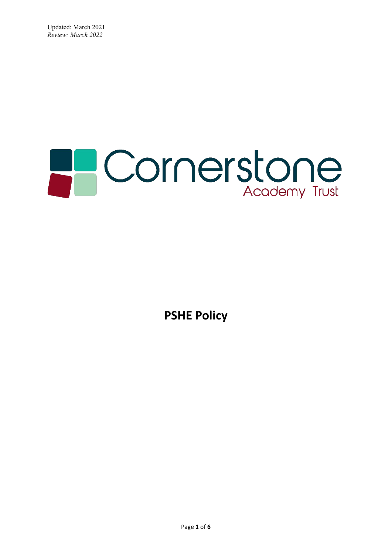# **PCornerstone**

**PSHE Policy**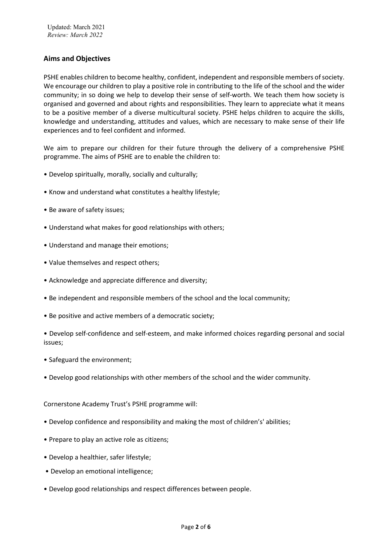# **Aims and Objectives**

PSHE enables children to become healthy, confident, independent and responsible members of society. We encourage our children to play a positive role in contributing to the life of the school and the wider community; in so doing we help to develop their sense of self-worth. We teach them how society is organised and governed and about rights and responsibilities. They learn to appreciate what it means to be a positive member of a diverse multicultural society. PSHE helps children to acquire the skills, knowledge and understanding, attitudes and values, which are necessary to make sense of their life experiences and to feel confident and informed.

We aim to prepare our children for their future through the delivery of a comprehensive PSHE programme. The aims of PSHE are to enable the children to:

- Develop spiritually, morally, socially and culturally;
- Know and understand what constitutes a healthy lifestyle;
- Be aware of safety issues;
- Understand what makes for good relationships with others;
- Understand and manage their emotions;
- Value themselves and respect others;
- Acknowledge and appreciate difference and diversity;
- Be independent and responsible members of the school and the local community;
- Be positive and active members of a democratic society;
- Develop self-confidence and self-esteem, and make informed choices regarding personal and social issues;
- Safeguard the environment;
- Develop good relationships with other members of the school and the wider community.

Cornerstone Academy Trust's PSHE programme will:

- Develop confidence and responsibility and making the most of children's' abilities;
- Prepare to play an active role as citizens;
- Develop a healthier, safer lifestyle;
- Develop an emotional intelligence;
- Develop good relationships and respect differences between people.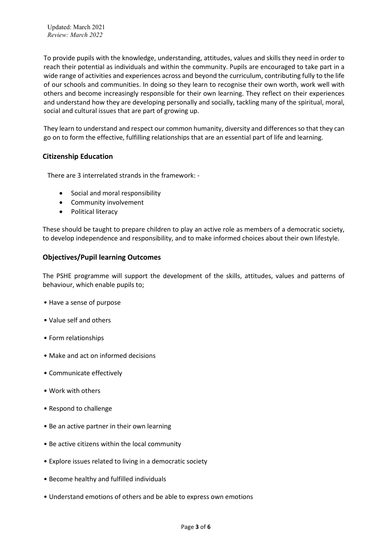To provide pupils with the knowledge, understanding, attitudes, values and skills they need in order to reach their potential as individuals and within the community. Pupils are encouraged to take part in a wide range of activities and experiences across and beyond the curriculum, contributing fully to the life of our schools and communities. In doing so they learn to recognise their own worth, work well with others and become increasingly responsible for their own learning. They reflect on their experiences and understand how they are developing personally and socially, tackling many of the spiritual, moral, social and cultural issues that are part of growing up.

They learn to understand and respect our common humanity, diversity and differences so that they can go on to form the effective, fulfilling relationships that are an essential part of life and learning.

# **Citizenship Education**

There are 3 interrelated strands in the framework: -

- Social and moral responsibility
- Community involvement
- Political literacy

These should be taught to prepare children to play an active role as members of a democratic society, to develop independence and responsibility, and to make informed choices about their own lifestyle.

#### **Objectives/Pupil learning Outcomes**

The PSHE programme will support the development of the skills, attitudes, values and patterns of behaviour, which enable pupils to;

- Have a sense of purpose
- Value self and others
- Form relationships
- Make and act on informed decisions
- Communicate effectively
- Work with others
- Respond to challenge
- Be an active partner in their own learning
- Be active citizens within the local community
- Explore issues related to living in a democratic society
- Become healthy and fulfilled individuals
- Understand emotions of others and be able to express own emotions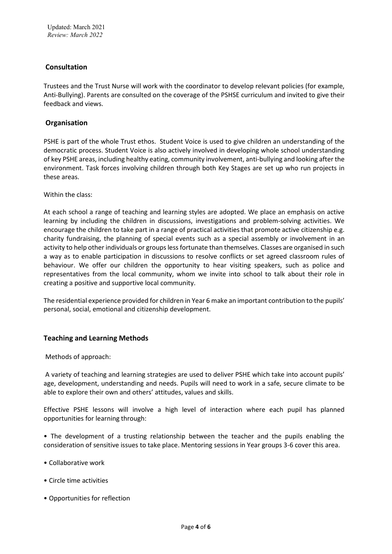# **Consultation**

Trustees and the Trust Nurse will work with the coordinator to develop relevant policies (for example, Anti-Bullying). Parents are consulted on the coverage of the PSHSE curriculum and invited to give their feedback and views.

#### **Organisation**

PSHE is part of the whole Trust ethos. Student Voice is used to give children an understanding of the democratic process. Student Voice is also actively involved in developing whole school understanding of key PSHE areas, including healthy eating, community involvement, anti-bullying and looking after the environment. Task forces involving children through both Key Stages are set up who run projects in these areas.

Within the class:

At each school a range of teaching and learning styles are adopted. We place an emphasis on active learning by including the children in discussions, investigations and problem-solving activities. We encourage the children to take part in a range of practical activities that promote active citizenship e.g. charity fundraising, the planning of special events such as a special assembly or involvement in an activity to help other individuals or groups less fortunate than themselves. Classes are organised in such a way as to enable participation in discussions to resolve conflicts or set agreed classroom rules of behaviour. We offer our children the opportunity to hear visiting speakers, such as police and representatives from the local community, whom we invite into school to talk about their role in creating a positive and supportive local community.

The residential experience provided for children in Year 6 make an important contribution to the pupils' personal, social, emotional and citizenship development.

# **Teaching and Learning Methods**

Methods of approach:

A variety of teaching and learning strategies are used to deliver PSHE which take into account pupils' age, development, understanding and needs. Pupils will need to work in a safe, secure climate to be able to explore their own and others' attitudes, values and skills.

Effective PSHE lessons will involve a high level of interaction where each pupil has planned opportunities for learning through:

• The development of a trusting relationship between the teacher and the pupils enabling the consideration of sensitive issues to take place. Mentoring sessions in Year groups 3-6 cover this area.

- Collaborative work
- Circle time activities
- Opportunities for reflection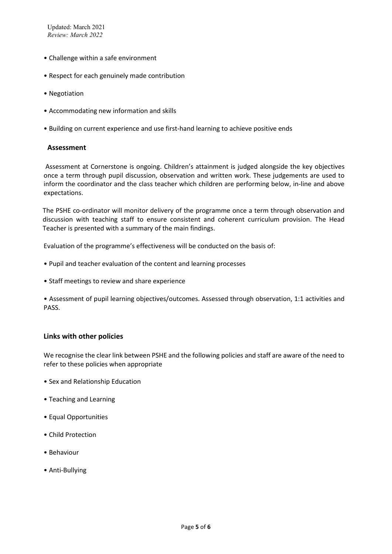- Challenge within a safe environment
- Respect for each genuinely made contribution
- Negotiation
- Accommodating new information and skills
- Building on current experience and use first-hand learning to achieve positive ends

#### **Assessment**

Assessment at Cornerstone is ongoing. Children's attainment is judged alongside the key objectives once a term through pupil discussion, observation and written work. These judgements are used to inform the coordinator and the class teacher which children are performing below, in-line and above expectations.

The PSHE co-ordinator will monitor delivery of the programme once a term through observation and discussion with teaching staff to ensure consistent and coherent curriculum provision. The Head Teacher is presented with a summary of the main findings.

Evaluation of the programme's effectiveness will be conducted on the basis of:

- Pupil and teacher evaluation of the content and learning processes
- Staff meetings to review and share experience

• Assessment of pupil learning objectives/outcomes. Assessed through observation, 1:1 activities and PASS.

#### **Links with other policies**

We recognise the clear link between PSHE and the following policies and staff are aware of the need to refer to these policies when appropriate

- Sex and Relationship Education
- Teaching and Learning
- Equal Opportunities
- Child Protection
- Behaviour
- Anti-Bullying